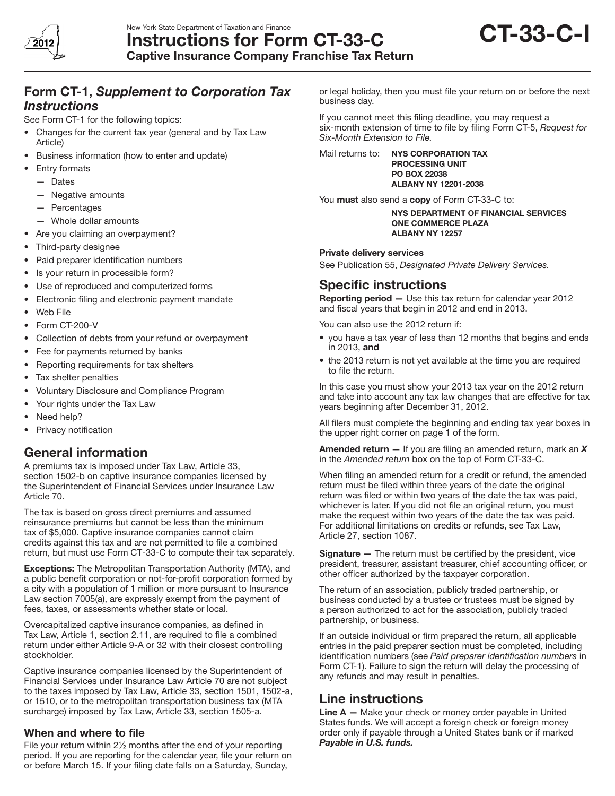

# Form CT-1, *Supplement to Corporation Tax Instructions*

See Form CT-1 for the following topics:

- Changes for the current tax year (general and by Tax Law Article)
- Business information (how to enter and update)
- **Entry formats** 
	- — Dates
	- — Negative amounts
	- — Percentages
	- Whole dollar amounts
- Are you claiming an overpayment?
- Third-party designee
- Paid preparer identification numbers
- Is your return in processible form?
- Use of reproduced and computerized forms
- • Electronic filing and electronic payment mandate
- Web File
- • Form CT-200-V
- Collection of debts from your refund or overpayment
- Fee for payments returned by banks
- • Reporting requirements for tax shelters
- Tax shelter penalties
- • Voluntary Disclosure and Compliance Program
- Your rights under the Tax Law
- Need help?
- Privacy notification

### General information

A premiums tax is imposed under Tax Law, Article 33, section 1502-b on captive insurance companies licensed by the Superintendent of Financial Services under Insurance Law Article 70.

The tax is based on gross direct premiums and assumed reinsurance premiums but cannot be less than the minimum tax of \$5,000. Captive insurance companies cannot claim credits against this tax and are not permitted to file a combined return, but must use Form CT-33-C to compute their tax separately.

Exceptions: The Metropolitan Transportation Authority (MTA), and a public benefit corporation or not-for-profit corporation formed by a city with a population of 1 million or more pursuant to Insurance Law section 7005(a), are expressly exempt from the payment of fees, taxes, or assessments whether state or local.

Overcapitalized captive insurance companies, as defined in Tax Law, Article 1, section 2.11, are required to file a combined return under either Article 9-A or 32 with their closest controlling stockholder.

Captive insurance companies licensed by the Superintendent of Financial Services under Insurance Law Article 70 are not subject to the taxes imposed by Tax Law, Article 33, section 1501, 1502-a, or 1510, or to the metropolitan transportation business tax (MTA surcharge) imposed by Tax Law, Article 33, section 1505-a.

#### When and where to file

File your return within 2½ months after the end of your reporting period. If you are reporting for the calendar year, file your return on or before March 15. If your filing date falls on a Saturday, Sunday,

or legal holiday, then you must file your return on or before the next business day.

If you cannot meet this filing deadline, you may request a six-month extension of time to file by filing Form CT-5, *Request for Six-Month Extension to File.*

Mail returns to: NYS CORPORATION TAX PROCESSING UNIT PO BOX 22038 ALBANY NY 12201-2038

You must also send a copy of Form CT-33-C to:

NYS Department OF FINANCIAL SERVICES One Commerce Plaza Albany NY 12257

#### Private delivery services

See Publication 55, *Designated Private Delivery Services.* 

## Specific instructions

Reporting period - Use this tax return for calendar year 2012 and fiscal years that begin in 2012 and end in 2013.

You can also use the 2012 return if:

- you have a tax year of less than 12 months that begins and ends in 2013, and
- the 2013 return is not yet available at the time you are required to file the return.

In this case you must show your 2013 tax year on the 2012 return and take into account any tax law changes that are effective for tax years beginning after December 31, 2012.

All filers must complete the beginning and ending tax year boxes in the upper right corner on page 1 of the form.

Amended return — If you are filing an amended return, mark an *X* in the *Amended return* box on the top of Form CT-33-C.

When filing an amended return for a credit or refund, the amended return must be filed within three years of the date the original return was filed or within two years of the date the tax was paid, whichever is later. If you did not file an original return, you must make the request within two years of the date the tax was paid. For additional limitations on credits or refunds, see Tax Law, Article 27, section 1087.

**Signature** – The return must be certified by the president, vice president, treasurer, assistant treasurer, chief accounting officer, or other officer authorized by the taxpayer corporation.

The return of an association, publicly traded partnership, or business conducted by a trustee or trustees must be signed by a person authorized to act for the association, publicly traded partnership, or business.

If an outside individual or firm prepared the return, all applicable entries in the paid preparer section must be completed, including identification numbers (see *Paid preparer identification numbers* in Form CT-1). Failure to sign the return will delay the processing of any refunds and may result in penalties.

## Line instructions

Line  $A - M$ ake your check or money order payable in United States funds. We will accept a foreign check or foreign money order only if payable through a United States bank or if marked *Payable in U.S. funds.*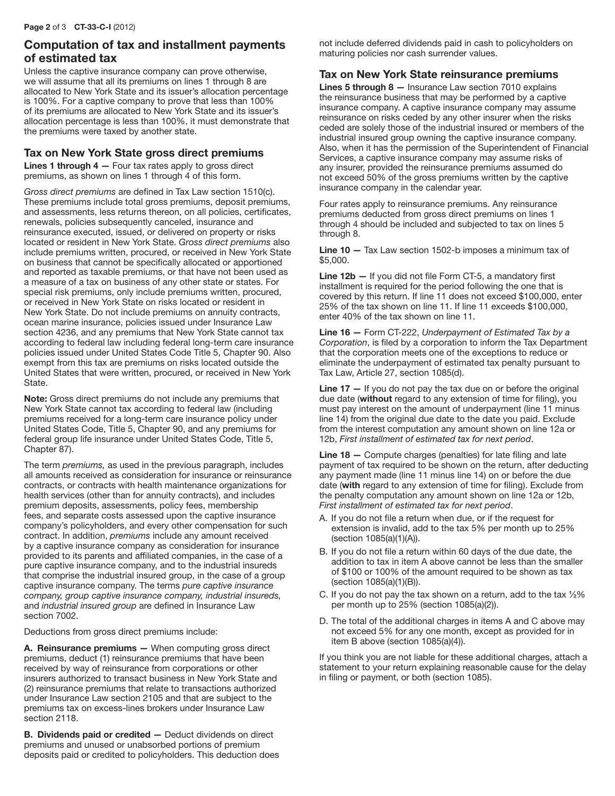## Computation of tax and installment payments of estimated tax

Unless the captive insurance company can prove otherwise, we will assume that all its premiums on lines 1 through 8 are allocated to New York State and its issuer's allocation percentage is 100%. For a captive company to prove that less than 100% of its premiums are allocated to New York State and its issuer's allocation percentage is less than 100%, it must demonstrate that the premiums were taxed by another state.

#### Tax on New York State gross direct premiums

**Lines 1 through 4 – Four tax rates apply to gross direct** premiums, as shown on lines 1 through 4 of this form.

*Gross direct premiums* are defined in Tax Law section 1510(c). These premiums include total gross premiums, deposit premiums, and assessments, less returns thereon, on all policies, certificates, renewals, policies subsequently canceled, insurance and reinsurance executed, issued, or delivered on property or risks located or resident in New York State. *Gross direct premiums* also include premiums written, procured, or received in New York State on business that cannot be specifically allocated or apportioned and reported as taxable premiums, or that have not been used as a measure of a tax on business of any other state or states. For special risk premiums, only include premiums written, procured, or received in New York State on risks located or resident in New York State. Do not include premiums on annuity contracts, ocean marine insurance, policies issued under Insurance Law section 4236, and any premiums that New York State cannot tax according to federal law including federal long-term care insurance policies issued under United States Code Title 5, Chapter 90. Also exempt from this tax are premiums on risks located outside the United States that were written, procured, or received in New York State.

Note: Gross direct premiums do not include any premiums that New York State cannot tax according to federal law (including premiums received for a long-term care insurance policy under United States Code, Title 5, Chapter 90, and any premiums for federal group life insurance under United States Code, Title 5, Chapter 87).

The term *premiums,* as used in the previous paragraph, includes all amounts received as consideration for insurance or reinsurance contracts, or contracts with health maintenance organizations for health services (other than for annuity contracts), and includes premium deposits, assessments, policy fees, membership fees, and separate costs assessed upon the captive insurance company's policyholders, and every other compensation for such contract. In addition, *premiums* include any amount received by a captive insurance company as consideration for insurance provided to its parents and affiliated companies, in the case of a pure captive insurance company, and to the industrial insureds that comprise the industrial insured group, in the case of a group captive insurance company. The terms *pure captive insurance company, group captive insurance company, industrial insureds,*  and *industrial insured group* are defined in Insurance Law section 7002.

Deductions from gross direct premiums include:

A. Reinsurance premiums - When computing gross direct premiums, deduct (1) reinsurance premiums that have been received by way of reinsurance from corporations or other insurers authorized to transact business in New York State and (2) reinsurance premiums that relate to transactions authorized under Insurance Law section 2105 and that are subject to the premiums tax on excess-lines brokers under Insurance Law section 2118.

B. Dividends paid or credited — Deduct dividends on direct premiums and unused or unabsorbed portions of premium deposits paid or credited to policyholders. This deduction does not include deferred dividends paid in cash to policyholders on maturing policies nor cash surrender values.

#### Tax on New York State reinsurance premiums

Lines 5 through 8 — Insurance Law section 7010 explains the reinsurance business that may be performed by a captive insurance company. A captive insurance company may assume reinsurance on risks ceded by any other insurer when the risks ceded are solely those of the industrial insured or members of the industrial insured group owning the captive insurance company. Also, when it has the permission of the Superintendent of Financial Services, a captive insurance company may assume risks of any insurer, provided the reinsurance premiums assumed do not exceed 50% of the gross premiums written by the captive insurance company in the calendar year.

Four rates apply to reinsurance premiums. Any reinsurance premiums deducted from gross direct premiums on lines 1 through 4 should be included and subjected to tax on lines 5 through 8.

Line 10 — Tax Law section 1502-b imposes a minimum tax of \$5,000.

Line 12b - If you did not file Form CT-5, a mandatory first installment is required for the period following the one that is covered by this return. If line 11 does not exceed \$100,000, enter 25% of the tax shown on line 11. If line 11 exceeds \$100,000, enter 40% of the tax shown on line 11.

Line 16 — Form CT-222, *Underpayment of Estimated Tax by a Corporation*, is filed by a corporation to inform the Tax Department that the corporation meets one of the exceptions to reduce or eliminate the underpayment of estimated tax penalty pursuant to Tax Law, Article 27, section 1085(d).

**Line 17**  $-$  If you do not pay the tax due on or before the original due date (without regard to any extension of time for filing), you must pay interest on the amount of underpayment (line 11 minus line 14) from the original due date to the date you paid. Exclude from the interest computation any amount shown on line 12a or 12b, *First installment of estimated tax for next period*.

Line 18 – Compute charges (penalties) for late filing and late payment of tax required to be shown on the return, after deducting any payment made (line 11 minus line 14) on or before the due date (with regard to any extension of time for filing). Exclude from the penalty computation any amount shown on line 12a or 12b, *First installment of estimated tax for next period*.

- A. If you do not file a return when due, or if the request for extension is invalid, add to the tax 5% per month up to 25% (section 1085(a)(1)(A)).
- B. If you do not file a return within 60 days of the due date, the addition to tax in item A above cannot be less than the smaller of \$100 or 100% of the amount required to be shown as tax (section 1085(a)(1)(B)).
- C. If you do not pay the tax shown on a return, add to the tax  $\frac{1}{2}\%$ per month up to 25% (section 1085(a)(2)).
- D. The total of the additional charges in items A and C above may not exceed 5% for any one month, except as provided for in item B above (section 1085(a)(4)).

If you think you are not liable for these additional charges, attach a statement to your return explaining reasonable cause for the delay in filing or payment, or both (section 1085).